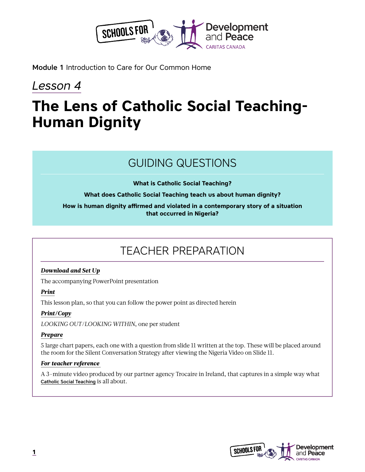

Module 1 Introduction to Care for Our Common Home

## *Lesson 4*

# **The Lens of Catholic Social Teaching-Human Dignity**

## GUIDING QUESTIONS

**What is Catholic Social Teaching?** 

#### **What does Catholic Social Teaching teach us about human dignity?**

#### **How is human dignity affirmed and violated in a contemporary story of a situation that occurred in Nigeria?**

## TEACHER PREPARATION

#### *Download and Set Up*

The accompanying PowerPoint presentation

#### *Print*

This lesson plan, so that you can follow the power point as directed herein

#### *Print/Copy*

*LOOKING OUT/LOOKING WITHIN*, one per student

#### *Prepare*

5 large chart papers, each one with a question from slide 11 written at the top. These will be placed around the room for the Silent Conversation Strategy after viewing the Nigeria Video on Slide 11.

#### *For teacher reference*

A 3-minute video produced by our partner agency Trocaire in Ireland, that captures in a simple way what [Catholic Social Teaching](https://www.youtube.com/watch?v=ELyLdMlFdzA) is all about.

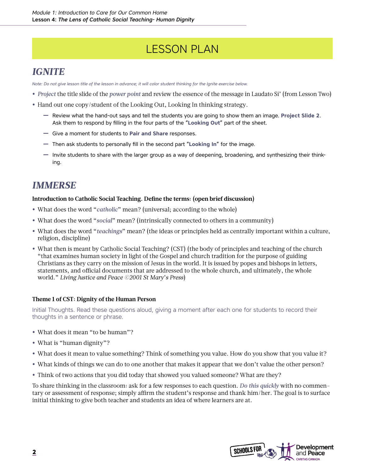## LESSON PLAN

### *IGNITE*

*Note: Do not give lesson title of the lesson in advance; it will color student thinking for the Ignite exercise below.*

- **•** *Project* the title slide of the *power point* and review the essence of the message in Laudato Si' (from Lesson Two)
- **•** Hand out one copy/student of the Looking Out, Looking In thinking strategy.
	- **―** Review what the hand-out says and tell the students you are going to show them an image. **Project Slide 2**. Ask them to respond by filling in the four parts of the "**Looking Out**" part of the sheet.
	- **―** Give a moment for students to **Pair and Share** responses.
	- **―** Then ask students to personally fill in the second part "**Looking In**" for the image.
	- **―** Invite students to share with the larger group as a way of deepening, broadening, and synthesizing their thinking.

### *IMMERSE*

#### **Introduction to Catholic Social Teaching. Define the terms: (open brief discussion)**

- **•** What does the word "*catholic*" mean? (universal; according to the whole)
- **•** What does the word "*social*" mean? (intrinsically connected to others in a community)
- **•** What does the word "*teachings*" mean? (the ideas or principles held as centrally important within a culture, religion, discipline)
- **•** What then is meant by Catholic Social Teaching? (CST) (the body of principles and teaching of the church "that examines human society in light of the Gospel and church tradition for the purpose of guiding Christians as they carry on the mission of Jesus in the world. It is issued by popes and bishops in letters, statements, and official documents that are addressed to the whole church, and ultimately, the whole world." *Living Justice and Peace ©2001 St Mary's Press*)

#### **Theme 1 of CST: Dignity of the Human Person**

Initial Thoughts. Read these questions aloud, giving a moment after each one for students to record their thoughts in a sentence or phrase.

- **•** What does it mean "to be human"?
- **•** What is "human dignity"?
- **•** What does it mean to value something? Think of something you value. How do you show that you value it?
- **•** What kinds of things we can do to one another that makes it appear that we don't value the other person?
- **•** Think of two actions that you did today that showed you valued someone? What are they?

To share thinking in the classroom: ask for a few responses to each question. *Do this quickly* with no commentary or assessment of response; simply affirm the student's response and thank him/her. The goal is to surface initial thinking to give both teacher and students an idea of where learners are at.

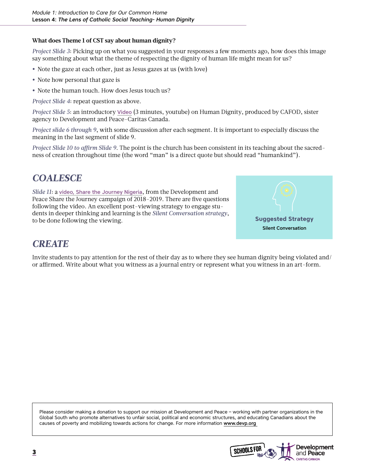#### **What does Theme 1 of CST say about human dignity?**

*Project Slide 3*: Picking up on what you suggested in your responses a few moments ago, how does this image say something about what the theme of respecting the dignity of human life might mean for us?

- **•** Note the gaze at each other, just as Jesus gazes at us (with love)
- **•** Note how personal that gaze is
- **•** Note the human touch. How does Jesus touch us?

*Project Slide 4*: repeat question as above.

*Project Slide 5*: an introductory [Video](https://www.youtube.com/watch?v=8zhtPDXRthM) (3 minutes, youtube) on Human Dignity, produced by CAFOD, sister agency to Development and Peace-Caritas Canada.

*Project slide 6 through 9*, with some discussion after each segment. It is important to especially discuss the meaning in the last segment of slide 9.

*Project Slide 10 to affirm Slide 9*. The point is the church has been consistent in its teaching about the sacredness of creation throughout time (the word "man" is a direct quote but should read "humankind").

### *COALESCE*

*Slide 11*: a [video, Share the Journey Nigeria](https://www.devp.org/sites/www.devp.org/files/share-the-journey-nigeria-en.mp4), from the Development and Peace Share the Journey campaign of 2018-2019. There are five questions following the video. An excellent post-viewing strategy to engage students in deeper thinking and learning is the *Silent Conversation strategy*, to be done following the viewing.



### *CREATE*

Invite students to pay attention for the rest of their day as to where they see human dignity being violated and/ or affirmed. Write about what you witness as a journal entry or represent what you witness in an art-form.

Please consider making a donation to support our mission at Development and Peace – working with partner organizations in the Global South who promote alternatives to unfair social, political and economic structures, and educating Canadians about the causes of poverty and mobilizing towards actions for change. For more information [www.devp.org](http://www.devp.org ) 

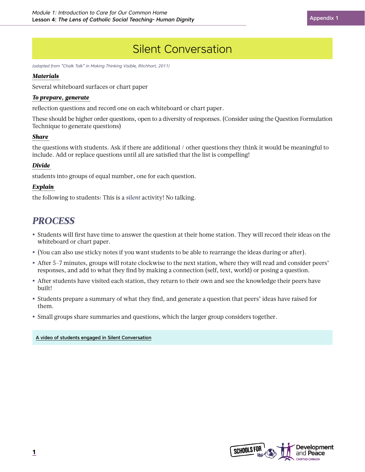## Silent Conversation

*(adapted from "Chalk Talk" in Making Thinking Visible, Ritchhart, 2011)*

#### *Materials*

Several whiteboard surfaces or chart paper

#### *To prepare, generate*

reflection questions and record one on each whiteboard or chart paper.

These should be higher order questions, open to a diversity of responses. (Consider using the Question Formulation Technique to generate questions)

#### *Share*

the questions with students. Ask if there are additional / other questions they think it would be meaningful to include. Add or replace questions until all are satisfied that the list is compelling!

#### *Divide*

students into groups of equal number, one for each question.

#### *Explain*

the following to students: This is a *silent* activity! No talking.

### *PROCESS*

- **•** Students will first have time to answer the question at their home station. They will record their ideas on the whiteboard or chart paper.
- **•** (You can also use sticky notes if you want students to be able to rearrange the ideas during or after).
- **•** After 5-7 minutes, groups will rotate clockwise to the next station, where they will read and consider peers' responses, and add to what they find by making a connection (self, text, world) or posing a question.
- **•** After students have visited each station, they return to their own and see the knowledge their peers have built!
- **•** Students prepare a summary of what they find, and generate a question that peers' ideas have raised for them.
- **•** Small groups share summaries and questions, which the larger group considers together.

#### [A video of students engaged in Silent Conversation](https://youtu.be/ZqYIFoizPlM)